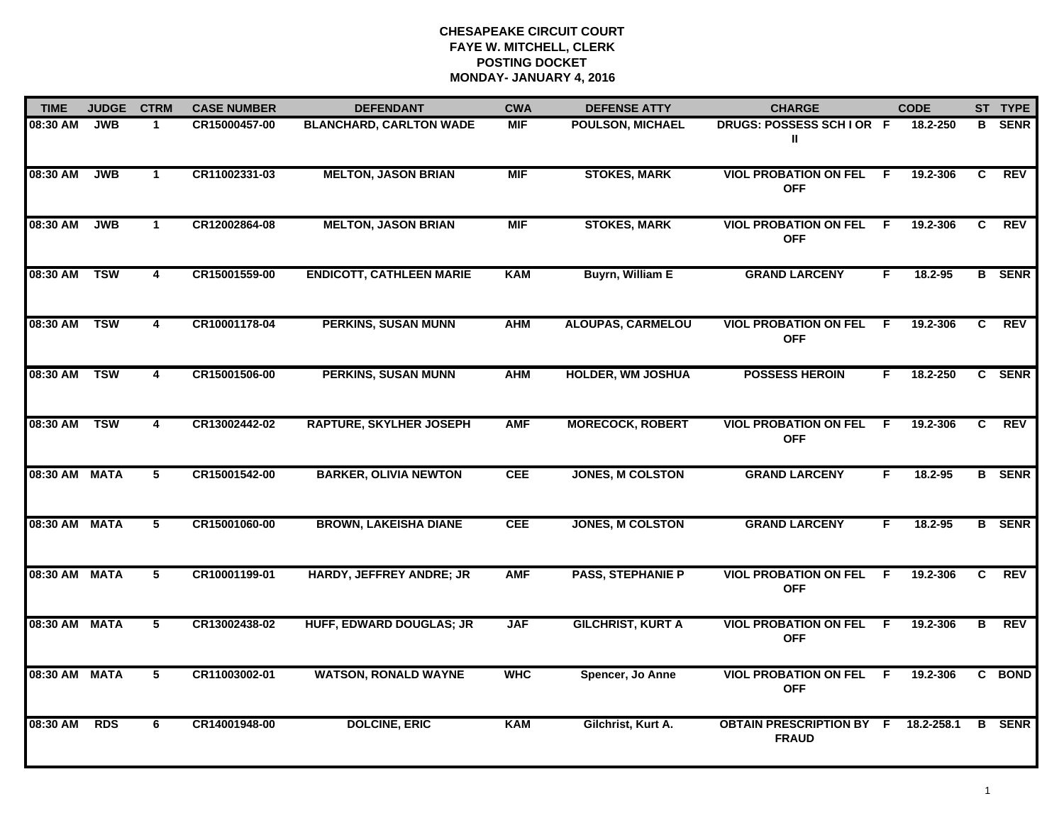| <b>TIME</b>   | <b>JUDGE</b> | <b>CTRM</b>    | <b>CASE NUMBER</b> | <b>DEFENDANT</b>                | <b>CWA</b> | <b>DEFENSE ATTY</b>      | <b>CHARGE</b>                                   |                | <b>CODE</b> |    | ST TYPE       |
|---------------|--------------|----------------|--------------------|---------------------------------|------------|--------------------------|-------------------------------------------------|----------------|-------------|----|---------------|
| 08:30 AM      | <b>JWB</b>   | 1              | CR15000457-00      | <b>BLANCHARD, CARLTON WADE</b>  | <b>MIF</b> | <b>POULSON, MICHAEL</b>  | DRUGS: POSSESS SCHIOR F<br>Ш                    |                | 18.2-250    | B  | <b>SENR</b>   |
| 08:30 AM      | <b>JWB</b>   | $\mathbf{1}$   | CR11002331-03      | <b>MELTON, JASON BRIAN</b>      | <b>MIF</b> | <b>STOKES, MARK</b>      | <b>VIOL PROBATION ON FEL</b><br><b>OFF</b>      | $\overline{F}$ | 19.2-306    | C  | <b>REV</b>    |
| 08:30 AM      | <b>JWB</b>   | $\mathbf{1}$   | CR12002864-08      | <b>MELTON, JASON BRIAN</b>      | <b>MIF</b> | <b>STOKES, MARK</b>      | <b>VIOL PROBATION ON FEL</b><br><b>OFF</b>      | F.             | 19.2-306    | C. | <b>REV</b>    |
| 08:30 AM      | <b>TSW</b>   | 4              | CR15001559-00      | <b>ENDICOTT, CATHLEEN MARIE</b> | <b>KAM</b> | <b>Buyrn, William E</b>  | <b>GRAND LARCENY</b>                            | F.             | 18.2-95     |    | <b>B</b> SENR |
| 08:30 AM      | <b>TSW</b>   | $\overline{4}$ | CR10001178-04      | <b>PERKINS, SUSAN MUNN</b>      | <b>AHM</b> | <b>ALOUPAS, CARMELOU</b> | <b>VIOL PROBATION ON FEL</b><br><b>OFF</b>      | F.             | 19.2-306    | C  | <b>REV</b>    |
| 08:30 AM      | <b>TSW</b>   | 4              | CR15001506-00      | <b>PERKINS, SUSAN MUNN</b>      | <b>AHM</b> | <b>HOLDER, WM JOSHUA</b> | <b>POSSESS HEROIN</b>                           | F.             | 18.2-250    |    | C SENR        |
| 08:30 AM      | <b>TSW</b>   | 4              | CR13002442-02      | <b>RAPTURE, SKYLHER JOSEPH</b>  | <b>AMF</b> | <b>MORECOCK, ROBERT</b>  | <b>VIOL PROBATION ON FEL</b><br><b>OFF</b>      | F.             | 19.2-306    | C. | <b>REV</b>    |
| 08:30 AM MATA |              | 5              | CR15001542-00      | <b>BARKER, OLIVIA NEWTON</b>    | <b>CEE</b> | <b>JONES, M COLSTON</b>  | <b>GRAND LARCENY</b>                            | F.             | 18.2-95     |    | <b>B</b> SENR |
| 08:30 AM MATA |              | 5              | CR15001060-00      | <b>BROWN, LAKEISHA DIANE</b>    | <b>CEE</b> | <b>JONES, M COLSTON</b>  | <b>GRAND LARCENY</b>                            | F.             | $18.2 - 95$ |    | <b>B</b> SENR |
| 08:30 AM MATA |              | $5^{\circ}$    | CR10001199-01      | HARDY, JEFFREY ANDRE; JR        | <b>AMF</b> | <b>PASS, STEPHANIE P</b> | <b>VIOL PROBATION ON FEL</b><br><b>OFF</b>      | -F             | 19.2-306    | C  | <b>REV</b>    |
| 08:30 AM MATA |              | 5              | CR13002438-02      | <b>HUFF, EDWARD DOUGLAS; JR</b> | <b>JAF</b> | <b>GILCHRIST, KURT A</b> | <b>VIOL PROBATION ON FEL F</b><br><b>OFF</b>    |                | 19.2-306    | В  | REV           |
| 08:30 AM MATA |              | $\overline{5}$ | CR11003002-01      | <b>WATSON, RONALD WAYNE</b>     | <b>WHC</b> | Spencer, Jo Anne         | <b>VIOL PROBATION ON FEL</b><br><b>OFF</b>      | F.             | 19.2-306    |    | C BOND        |
| 08:30 AM      | <b>RDS</b>   | 6              | CR14001948-00      | <b>DOLCINE, ERIC</b>            | <b>KAM</b> | Gilchrist, Kurt A.       | <b>OBTAIN PRESCRIPTION BY F</b><br><b>FRAUD</b> |                | 18.2-258.1  | B  | <b>SENR</b>   |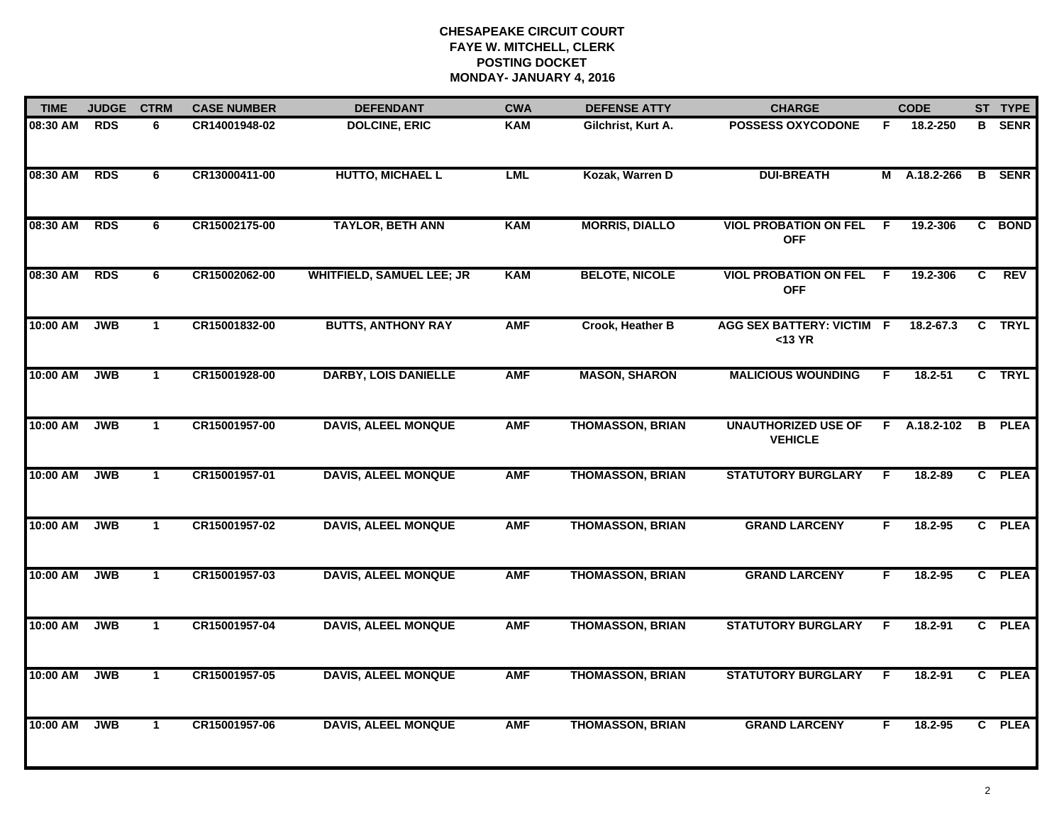| <b>TIME</b> | <b>JUDGE</b> | <b>CTRM</b>  | <b>CASE NUMBER</b> | <b>DEFENDANT</b>                 | <b>CWA</b> | <b>DEFENSE ATTY</b>     | <b>CHARGE</b>                                |    | <b>CODE</b>  |   | ST TYPE       |
|-------------|--------------|--------------|--------------------|----------------------------------|------------|-------------------------|----------------------------------------------|----|--------------|---|---------------|
| 08:30 AM    | <b>RDS</b>   | 6            | CR14001948-02      | <b>DOLCINE, ERIC</b>             | <b>KAM</b> | Gilchrist, Kurt A.      | <b>POSSESS OXYCODONE</b>                     | F. | 18.2-250     |   | <b>B</b> SENR |
| 08:30 AM    | <b>RDS</b>   | 6            | CR13000411-00      | <b>HUTTO, MICHAEL L</b>          | <b>LML</b> | Kozak, Warren D         | <b>DUI-BREATH</b>                            |    | M A.18.2-266 |   | <b>B</b> SENR |
| 08:30 AM    | <b>RDS</b>   | 6            | CR15002175-00      | <b>TAYLOR, BETH ANN</b>          | <b>KAM</b> | <b>MORRIS, DIALLO</b>   | <b>VIOL PROBATION ON FEL</b><br><b>OFF</b>   | E  | 19.2-306     |   | C BOND        |
| 08:30 AM    | <b>RDS</b>   | 6            | CR15002062-00      | <b>WHITFIELD, SAMUEL LEE; JR</b> | <b>KAM</b> | <b>BELOTE, NICOLE</b>   | <b>VIOL PROBATION ON FEL</b><br><b>OFF</b>   | E  | 19.2-306     | C | <b>REV</b>    |
| 10:00 AM    | <b>JWB</b>   | $\mathbf{1}$ | CR15001832-00      | <b>BUTTS, ANTHONY RAY</b>        | <b>AMF</b> | <b>Crook, Heather B</b> | <b>AGG SEX BATTERY: VICTIM</b><br>$<$ 13 YR  | F. | 18.2-67.3    |   | C TRYL        |
| 10:00 AM    | <b>JWB</b>   | $\mathbf{1}$ | CR15001928-00      | <b>DARBY, LOIS DANIELLE</b>      | <b>AMF</b> | <b>MASON, SHARON</b>    | <b>MALICIOUS WOUNDING</b>                    | F. | $18.2 - 51$  |   | C TRYL        |
| 10:00 AM    | <b>JWB</b>   | $\mathbf{1}$ | CR15001957-00      | <b>DAVIS, ALEEL MONQUE</b>       | <b>AMF</b> | <b>THOMASSON, BRIAN</b> | <b>UNAUTHORIZED USE OF</b><br><b>VEHICLE</b> | F. | A.18.2-102   | B | <b>PLEA</b>   |
| 10:00 AM    | <b>JWB</b>   | $\mathbf{1}$ | CR15001957-01      | <b>DAVIS, ALEEL MONQUE</b>       | <b>AMF</b> | <b>THOMASSON, BRIAN</b> | <b>STATUTORY BURGLARY</b>                    | F  | 18.2-89      |   | C PLEA        |
| 10:00 AM    | <b>JWB</b>   | $\mathbf{1}$ | CR15001957-02      | <b>DAVIS, ALEEL MONQUE</b>       | <b>AMF</b> | <b>THOMASSON, BRIAN</b> | <b>GRAND LARCENY</b>                         | F  | $18.2 - 95$  |   | C PLEA        |
| 10:00 AM    | <b>JWB</b>   | $\mathbf{1}$ | CR15001957-03      | <b>DAVIS, ALEEL MONQUE</b>       | <b>AMF</b> | <b>THOMASSON, BRIAN</b> | <b>GRAND LARCENY</b>                         | F. | $18.2 - 95$  |   | C PLEA        |
| 10:00 AM    | <b>JWB</b>   | $\mathbf 1$  | CR15001957-04      | <b>DAVIS, ALEEL MONQUE</b>       | <b>AMF</b> | <b>THOMASSON, BRIAN</b> | <b>STATUTORY BURGLARY</b>                    | F  | $18.2 - 91$  |   | C PLEA        |
| 10:00 AM    | <b>JWB</b>   | $\mathbf{1}$ | CR15001957-05      | <b>DAVIS, ALEEL MONQUE</b>       | <b>AMF</b> | <b>THOMASSON, BRIAN</b> | <b>STATUTORY BURGLARY</b>                    | F. | 18.2-91      |   | C PLEA        |
| 10:00 AM    | <b>JWB</b>   | $\mathbf{1}$ | CR15001957-06      | <b>DAVIS, ALEEL MONQUE</b>       | <b>AMF</b> | <b>THOMASSON, BRIAN</b> | <b>GRAND LARCENY</b>                         | F  | 18.2-95      |   | C PLEA        |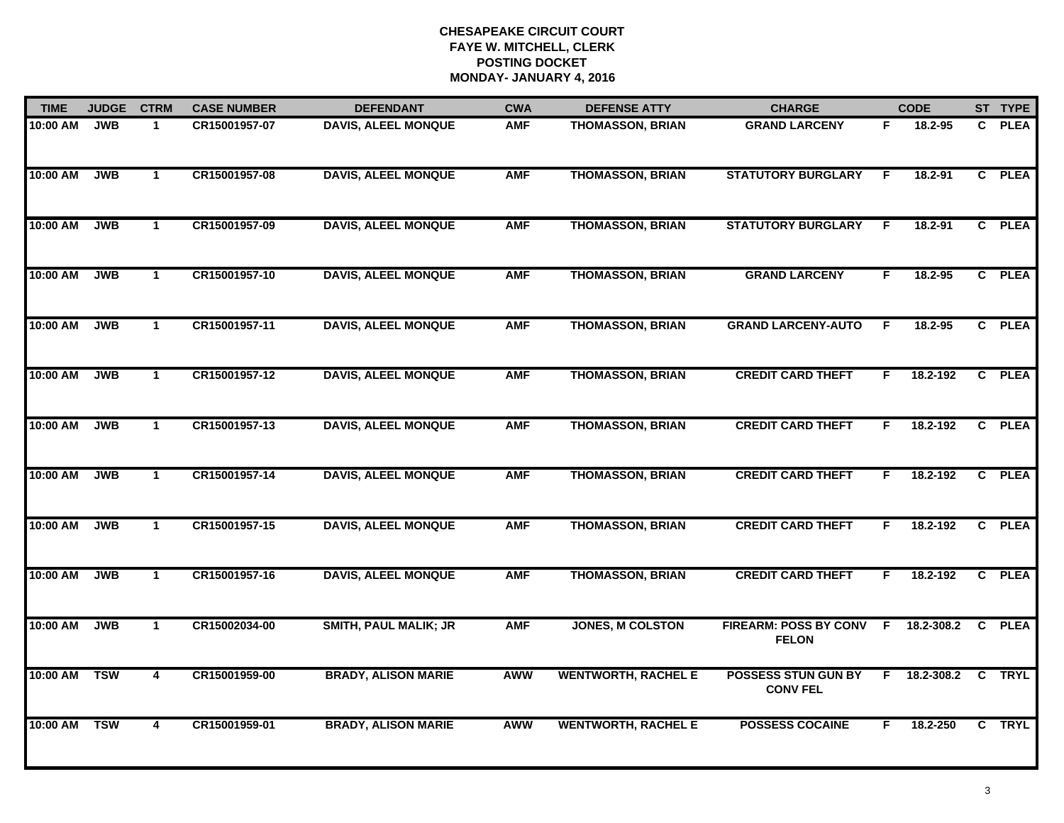| <b>TIME</b> | <b>JUDGE</b> | <b>CTRM</b>    | <b>CASE NUMBER</b> | <b>DEFENDANT</b>             | <b>CWA</b> | <b>DEFENSE ATTY</b>        | <b>CHARGE</b>                                      |    | <b>CODE</b> |                         | ST TYPE     |
|-------------|--------------|----------------|--------------------|------------------------------|------------|----------------------------|----------------------------------------------------|----|-------------|-------------------------|-------------|
| 10:00 AM    | <b>JWB</b>   | $\mathbf{1}$   | CR15001957-07      | <b>DAVIS, ALEEL MONQUE</b>   | <b>AMF</b> | <b>THOMASSON, BRIAN</b>    | <b>GRAND LARCENY</b>                               | F  | 18.2-95     | C.                      | <b>PLEA</b> |
| 10:00 AM    | <b>JWB</b>   | $\mathbf{1}$   | CR15001957-08      | <b>DAVIS, ALEEL MONQUE</b>   | <b>AMF</b> | <b>THOMASSON, BRIAN</b>    | <b>STATUTORY BURGLARY</b>                          | F  | 18.2-91     |                         | C PLEA      |
| 10:00 AM    | <b>JWB</b>   | $\mathbf{1}$   | CR15001957-09      | <b>DAVIS, ALEEL MONQUE</b>   | <b>AMF</b> | <b>THOMASSON, BRIAN</b>    | <b>STATUTORY BURGLARY</b>                          | F  | 18.2-91     |                         | C PLEA      |
| 10:00 AM    | <b>JWB</b>   | $\mathbf 1$    | CR15001957-10      | <b>DAVIS, ALEEL MONQUE</b>   | <b>AMF</b> | <b>THOMASSON, BRIAN</b>    | <b>GRAND LARCENY</b>                               | F. | $18.2 - 95$ |                         | C PLEA      |
| 10:00 AM    | <b>JWB</b>   | $\mathbf{1}$   | CR15001957-11      | <b>DAVIS, ALEEL MONQUE</b>   | <b>AMF</b> | <b>THOMASSON, BRIAN</b>    | <b>GRAND LARCENY-AUTO</b>                          | F  | $18.2 - 95$ |                         | C PLEA      |
| 10:00 AM    | <b>JWB</b>   | $\mathbf{1}$   | CR15001957-12      | <b>DAVIS, ALEEL MONQUE</b>   | <b>AMF</b> | <b>THOMASSON, BRIAN</b>    | <b>CREDIT CARD THEFT</b>                           | F. | 18.2-192    |                         | C PLEA      |
| 10:00 AM    | <b>JWB</b>   | $\mathbf{1}$   | CR15001957-13      | <b>DAVIS, ALEEL MONQUE</b>   | <b>AMF</b> | <b>THOMASSON, BRIAN</b>    | <b>CREDIT CARD THEFT</b>                           | F  | 18.2-192    |                         | C PLEA      |
| 10:00 AM    | <b>JWB</b>   | $\overline{1}$ | CR15001957-14      | <b>DAVIS, ALEEL MONQUE</b>   | <b>AMF</b> | <b>THOMASSON, BRIAN</b>    | <b>CREDIT CARD THEFT</b>                           | F. | 18.2-192    |                         | C PLEA      |
| 10:00 AM    | <b>JWB</b>   | $\mathbf{1}$   | CR15001957-15      | <b>DAVIS, ALEEL MONQUE</b>   | <b>AMF</b> | <b>THOMASSON, BRIAN</b>    | <b>CREDIT CARD THEFT</b>                           | F  | 18.2-192    |                         | C PLEA      |
| 10:00 AM    | <b>JWB</b>   | $\mathbf{1}$   | CR15001957-16      | <b>DAVIS, ALEEL MONQUE</b>   | <b>AMF</b> | <b>THOMASSON, BRIAN</b>    | <b>CREDIT CARD THEFT</b>                           | F. | 18.2-192    | $\mathbf{c}$            | <b>PLEA</b> |
| 10:00 AM    | <b>JWB</b>   | $\mathbf{1}$   | CR15002034-00      | <b>SMITH, PAUL MALIK; JR</b> | <b>AMF</b> | <b>JONES, M COLSTON</b>    | FIREARM: POSS BY CONV F 18.2-308.2<br><b>FELON</b> |    |             |                         | C PLEA      |
| 10:00 AM    | <b>TSW</b>   | 4              | CR15001959-00      | <b>BRADY, ALISON MARIE</b>   | AWW        | <b>WENTWORTH, RACHEL E</b> | <b>POSSESS STUN GUN BY</b><br><b>CONV FEL</b>      | F  | 18.2-308.2  | $\overline{\mathbf{C}}$ | <b>TRYL</b> |
| 10:00 AM    | <b>TSW</b>   | $\overline{4}$ | CR15001959-01      | <b>BRADY, ALISON MARIE</b>   | <b>AWW</b> | <b>WENTWORTH, RACHEL E</b> | <b>POSSESS COCAINE</b>                             | F. | 18.2-250    |                         | C TRYL      |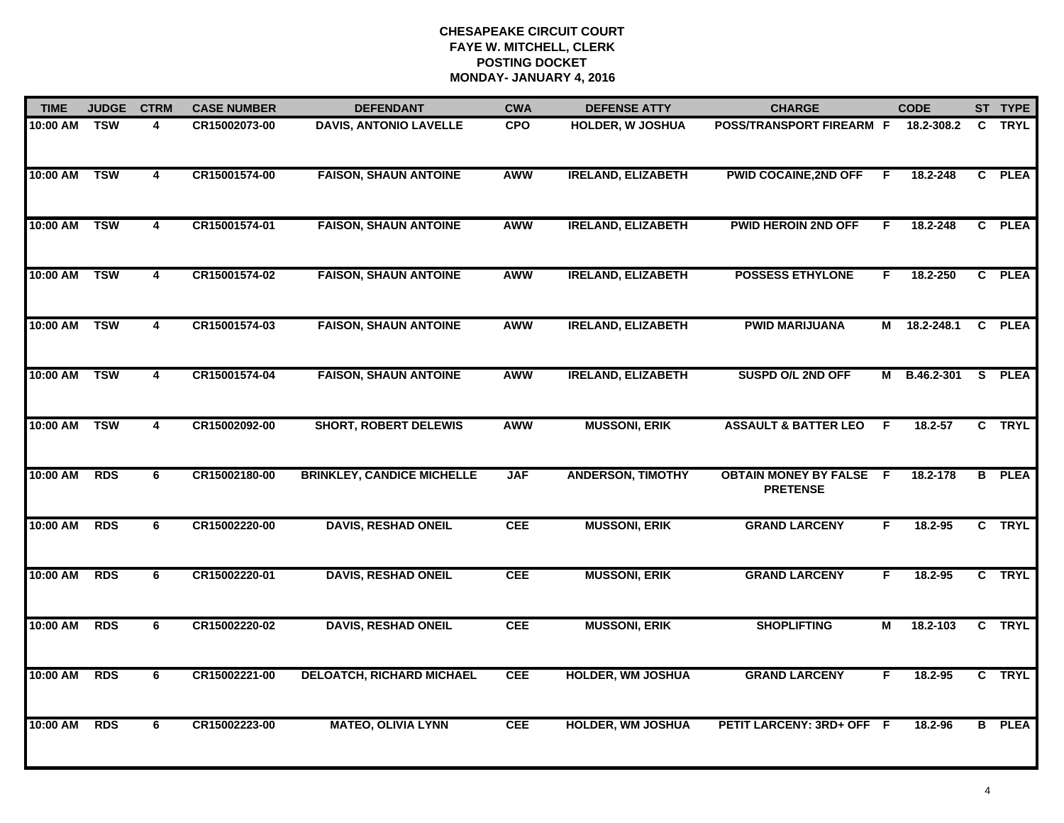| <b>TIME</b> | <b>JUDGE</b> | <b>CTRM</b>    | <b>CASE NUMBER</b> | <b>DEFENDANT</b>                  | <b>CWA</b> | <b>DEFENSE ATTY</b>       | <b>CHARGE</b>                                     |    | <b>CODE</b> | ST TYPE       |
|-------------|--------------|----------------|--------------------|-----------------------------------|------------|---------------------------|---------------------------------------------------|----|-------------|---------------|
| 10:00 AM    | <b>TSW</b>   | 4              | CR15002073-00      | <b>DAVIS, ANTONIO LAVELLE</b>     | <b>CPO</b> | <b>HOLDER, W JOSHUA</b>   | POSS/TRANSPORT FIREARM F                          |    | 18.2-308.2  | C TRYL        |
| 10:00 AM    | <b>TSW</b>   | $\overline{4}$ | CR15001574-00      | <b>FAISON, SHAUN ANTOINE</b>      | AWW        | <b>IRELAND, ELIZABETH</b> | <b>PWID COCAINE, 2ND OFF</b>                      | F  | 18.2-248    | C PLEA        |
| 10:00 AM    | <b>TSW</b>   | $\overline{4}$ | CR15001574-01      | <b>FAISON, SHAUN ANTOINE</b>      | AWW        | <b>IRELAND, ELIZABETH</b> | <b>PWID HEROIN 2ND OFF</b>                        | F  | 18.2-248    | C PLEA        |
| 10:00 AM    | <b>TSW</b>   | 4              | CR15001574-02      | <b>FAISON, SHAUN ANTOINE</b>      | <b>AWW</b> | <b>IRELAND, ELIZABETH</b> | <b>POSSESS ETHYLONE</b>                           | F. | 18.2-250    | C PLEA        |
| 10:00 AM    | <b>TSW</b>   | 4              | CR15001574-03      | <b>FAISON, SHAUN ANTOINE</b>      | <b>AWW</b> | <b>IRELAND, ELIZABETH</b> | <b>PWID MARIJUANA</b>                             | М  | 18.2-248.1  | C PLEA        |
| 10:00 AM    | <b>TSW</b>   | 4              | CR15001574-04      | <b>FAISON, SHAUN ANTOINE</b>      | AWW        | <b>IRELAND, ELIZABETH</b> | <b>SUSPD O/L 2ND OFF</b>                          | M  | B.46.2-301  | S PLEA        |
| 10:00 AM    | <b>TSW</b>   | $\overline{4}$ | CR15002092-00      | <b>SHORT, ROBERT DELEWIS</b>      | AWW        | <b>MUSSONI, ERIK</b>      | <b>ASSAULT &amp; BATTER LEO</b>                   | E  | 18.2-57     | C TRYL        |
| 10:00 AM    | <b>RDS</b>   | 6              | CR15002180-00      | <b>BRINKLEY, CANDICE MICHELLE</b> | <b>JAF</b> | <b>ANDERSON, TIMOTHY</b>  | <b>OBTAIN MONEY BY FALSE F</b><br><b>PRETENSE</b> |    | 18.2-178    | <b>B</b> PLEA |
| 10:00 AM    | <b>RDS</b>   | 6              | CR15002220-00      | <b>DAVIS, RESHAD ONEIL</b>        | <b>CEE</b> | <b>MUSSONI, ERIK</b>      | <b>GRAND LARCENY</b>                              | F  | 18.2-95     | C TRYL        |
| 10:00 AM    | <b>RDS</b>   | 6              | CR15002220-01      | <b>DAVIS, RESHAD ONEIL</b>        | <b>CEE</b> | <b>MUSSONI, ERIK</b>      | <b>GRAND LARCENY</b>                              | F. | 18.2-95     | C TRYL        |
| 10:00 AM    | <b>RDS</b>   | 6              | CR15002220-02      | <b>DAVIS, RESHAD ONEIL</b>        | <b>CEE</b> | <b>MUSSONI, ERIK</b>      | <b>SHOPLIFTING</b>                                | М  | 18.2-103    | C TRYL        |
| 10:00 AM    | <b>RDS</b>   | 6              | CR15002221-00      | <b>DELOATCH, RICHARD MICHAEL</b>  | <b>CEE</b> | <b>HOLDER, WM JOSHUA</b>  | <b>GRAND LARCENY</b>                              | F  | 18.2-95     | C TRYL        |
| 10:00 AM    | <b>RDS</b>   | 6              | CR15002223-00      | <b>MATEO, OLIVIA LYNN</b>         | <b>CEE</b> | <b>HOLDER, WM JOSHUA</b>  | PETIT LARCENY: 3RD+ OFF F                         |    | 18.2-96     | <b>B</b> PLEA |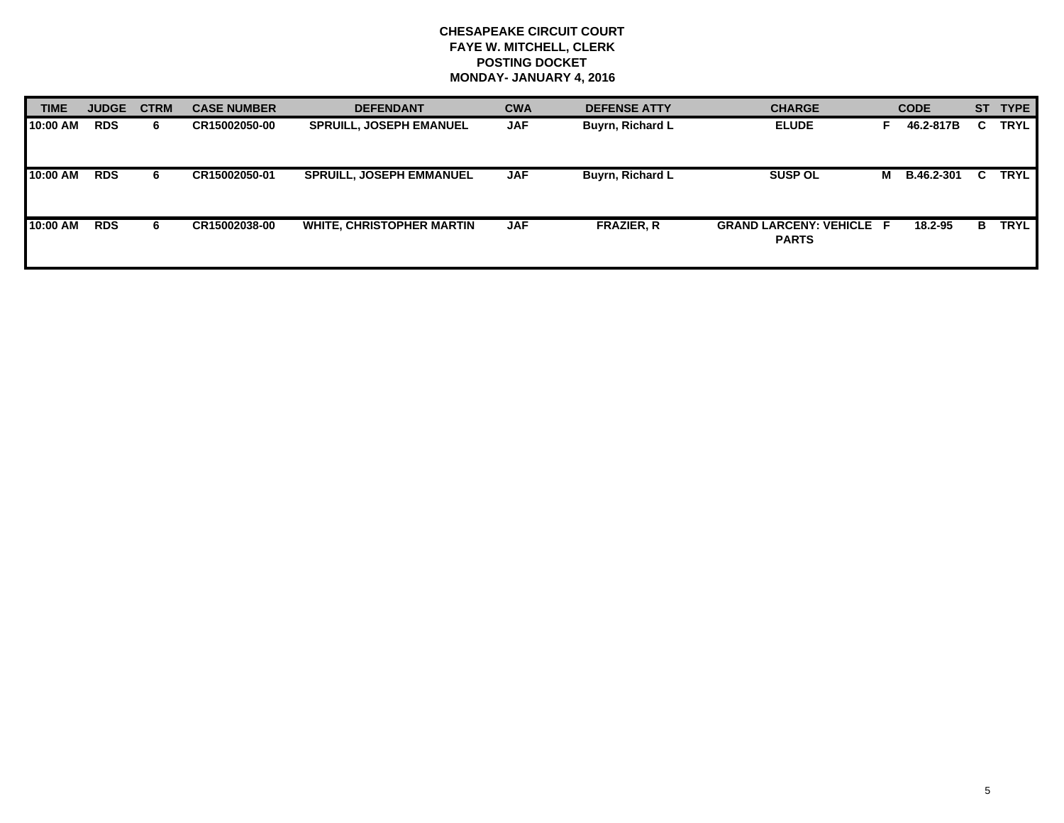| <b>TIME</b> | <b>JUDGE</b> | <b>CTRM</b> | <b>CASE NUMBER</b> | <b>DEFENDANT</b>                | <b>CWA</b> | <b>DEFENSE ATTY</b>     | <b>CHARGE</b>                                   |   | <b>CODE</b>       |    | ST TYPE     |
|-------------|--------------|-------------|--------------------|---------------------------------|------------|-------------------------|-------------------------------------------------|---|-------------------|----|-------------|
| 10:00 AM    | <b>RDS</b>   | 6.          | CR15002050-00      | <b>SPRUILL, JOSEPH EMANUEL</b>  | <b>JAF</b> | Buyrn, Richard L        | <b>ELUDE</b>                                    |   | 46.2-817B         |    | <b>TRYL</b> |
| 10:00 AM    | <b>RDS</b>   | 6.          | CR15002050-01      | <b>SPRUILL, JOSEPH EMMANUEL</b> | <b>JAF</b> | <b>Buyrn, Richard L</b> | <b>SUSP OL</b>                                  | м | <b>B.46.2-301</b> | C. | <b>TRYL</b> |
| 10:00 AM    | <b>RDS</b>   | 6.          | CR15002038-00      | WHITE, CHRISTOPHER MARTIN       | <b>JAF</b> | <b>FRAZIER, R</b>       | <b>GRAND LARCENY: VEHICLE F</b><br><b>PARTS</b> |   | 18.2-95           | в. | <b>TRYL</b> |